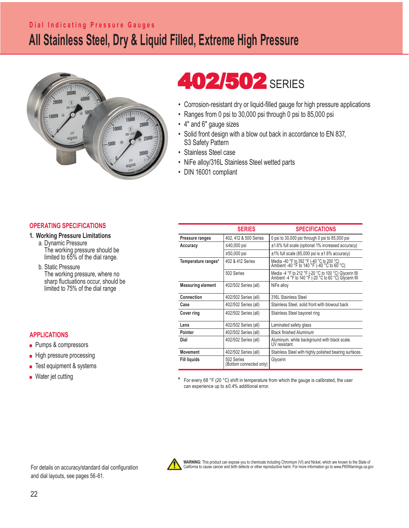### **All Stainless Steel, Dry & Liquid Filled, Extreme High Pressure Dial Indicating Pressure Gauges**



# **402/502 SERIES**

- Corrosion-resistant dry or liquid-filled gauge for high pressure applications
- Ranges from 0 psi to 30,000 psi through 0 psi to 85,000 psi
- 4" and 6" gauge sizes
- Solid front design with a blow out back in accordance to EN 837, S3 Safety Pattern
- Stainless Steel case
- NiFe alloy/316L Stainless Steel wetted parts
- DIN 16001 compliant

#### **OPERATING SPECIFICATIONS**

#### **1. Working Pressure Limitations**

 a. Dynamic Pressure The working pressure should be limited to 65% of the dial range.

 b. Static Pressure The working pressure, where no sharp fluctuations occur, should be limited to 75% of the dial range

#### **APPLICATIONS**

- Pumps & compressors
- High pressure processing
- Test equipment & systems
- Water jet cutting

|                          | <b>SERIES</b>                         | <b>SPECIFICATIONS</b>                                                                                             |  |  |
|--------------------------|---------------------------------------|-------------------------------------------------------------------------------------------------------------------|--|--|
| Pressure ranges          | 402, 412 & 500 Series                 | 0 psi to 30,000 psi through 0 psi to 85,000 psi                                                                   |  |  |
| Accuracy                 | ≤40,000 psi                           | $\pm$ 1.6% full scale (optional 1% increased accuracy)                                                            |  |  |
|                          | $\geq 50,000$ psi                     | $\pm$ 1% full scale (85,000 psi is $\pm$ 1.6% accuracy)                                                           |  |  |
| Temperature ranges*      | 402 & 412 Series                      | Media -40 °F to 392 °F (-40 °C to 200 °C)<br>Ambient -40 °F to 140 °F (-40 °C to 60 °C)                           |  |  |
|                          | 502 Series                            | Media -4 °F to 212 °F (-20 °C to 100 °C) Glycerin fill<br>Ambient -4 °F to 140 °F (-20 °C to 60 °C) Glycerin fill |  |  |
| <b>Measuring element</b> | 402/502 Series (all)                  | NiFe alloy                                                                                                        |  |  |
| Connection               | 402/502 Series (all)                  | 316L Stainless Steel                                                                                              |  |  |
| Case                     | 402/502 Series (all)                  | Stainless Steel, solid front with blowout back                                                                    |  |  |
| <b>Cover ring</b>        | 402/502 Series (all)                  | Stainless Steel bayonet ring                                                                                      |  |  |
| Lens                     | 402/502 Series (all)                  | Laminated safety glass                                                                                            |  |  |
| Pointer                  | 402/502 Series (all)                  | <b>Black finished Aluminum</b>                                                                                    |  |  |
| Dial                     | 402/502 Series (all)                  | Aluminum, white background with black scale.<br>UV resistant.                                                     |  |  |
| Movement                 | 402/502 Series (all)                  | Stainless Steel with highly polished bearing surfaces                                                             |  |  |
| <b>Fill liquids</b>      | 502 Series<br>(Bottom connected only) | Glycerin                                                                                                          |  |  |

For every 68 °F (20 °C) shift in temperature from which the gauge is calibrated, the user can experience up to  $\pm 0.4\%$  additional error.

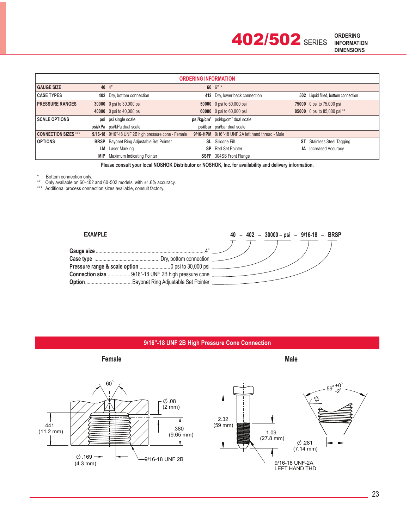**402/502 SERIES** 

| <b>ORDERING INFORMATION</b> |            |                                                     |  |                                                  |    |                                      |  |  |
|-----------------------------|------------|-----------------------------------------------------|--|--------------------------------------------------|----|--------------------------------------|--|--|
| <b>GAUGE SIZE</b>           |            | 40 4"                                               |  | 60 $6" *$                                        |    |                                      |  |  |
| <b>CASE TYPES</b>           |            | 402 Dry, bottom connection                          |  | 412 Dry, lower back connection                   |    | 502 Liquid filled, bottom connection |  |  |
| <b>PRESSURE RANGES</b>      |            | 30000 0 psi to 30,000 psi                           |  | 50000 0 psi to 50,000 psi                        |    | 75000 0 psi to 75,000 psi            |  |  |
|                             |            | 40000 0 psi to 40,000 psi                           |  | 60000 0 psi to 60,000 psi                        |    | 85000 0 psi to 85,000 psi **         |  |  |
| <b>SCALE OPTIONS</b>        |            | psi psi single scale                                |  | $psi/g/cm2$ psi/kg/cm <sup>2</sup> dual scale    |    |                                      |  |  |
|                             |            | psi/kPa psi/kPa dual scale                          |  | psi/bar psi/bar dual scale                       |    |                                      |  |  |
| <b>CONNECTION SIZES ***</b> |            | 9/16-18 9/16"-18 UNF 2B high pressure cone - Female |  | 9/16-HPM 9/16"-18 UNF 2A left hand thread - Male |    |                                      |  |  |
| <b>OPTIONS</b>              |            | <b>BRSP</b> Bayonet Ring Adjustable Set Pointer     |  | <b>SL</b> Silicone Fill                          | ST | <b>Stainless Steel Tagging</b>       |  |  |
|                             | LМ         | Laser Marking                                       |  | <b>SP</b> Red Set Pointer                        | IA | <b>Increased Accuracy</b>            |  |  |
|                             | <b>MIP</b> | Maximum Indicating Pointer                          |  | <b>SSFF</b> 304SS Front Flange                   |    |                                      |  |  |

**Please consult your local NOSHOK Distributor or NOSHOK, Inc. for availability and delivery information.**

\* Bottom connection only.<br>\*\* Only available on 60-402

Only available on  $60-402$  and  $60-502$  models, with  $\pm 1.6\%$  accuracy.

\*\*\* Additional process connection sizes available, consult factory.



#### **9/16″-18 UNF 2B High Pressure Cone Connection**



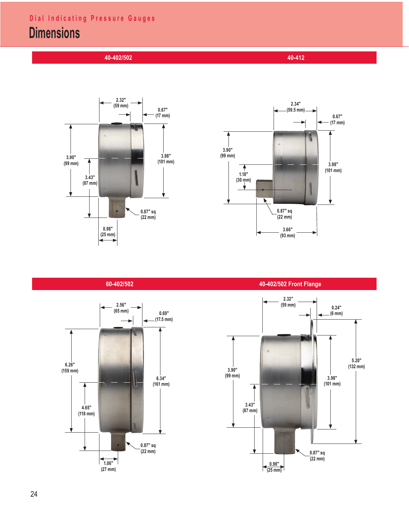## **Dimensions**

 **40-402/502 40-412**







 **60-402/502 40-402/502 Front Flange**